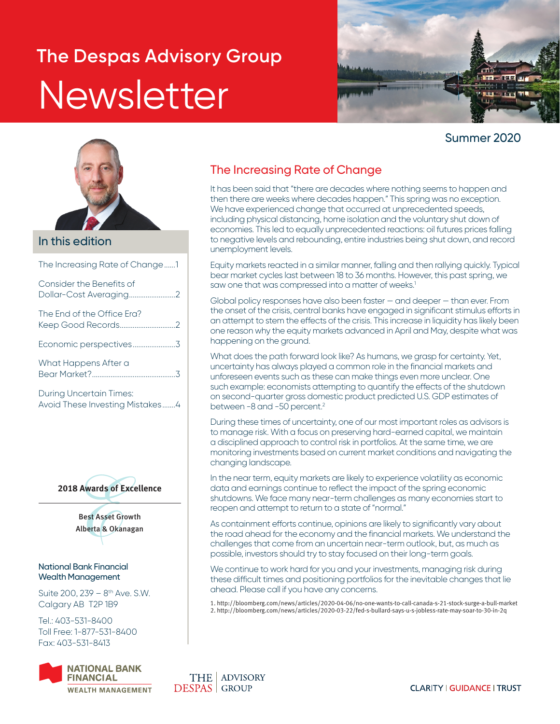# **The Despas Advisory Group** Newsletter



### Summer 2020



### In this edition

The Increasing Rate of Change......1

| Consider the Benefits of   |  |
|----------------------------|--|
| The Fnd of the Office Fra? |  |
|                            |  |
| What Happens After a       |  |

During Uncertain Times: Avoid These Investing Mistakes.......4



Best Asset Growth Alberta & Okanagan

#### National Bank Financial Wealth Management

Suite 200,  $239 - 8$ <sup>th</sup> Ave. S.W. Calgary AB T2P 1B9

Tel.: 403-531-8400 Toll Free: 1-877-531-8400 Fax: 403-531-8413



### The Increasing Rate of Change

It has been said that "there are decades where nothing seems to happen and then there are weeks where decades happen." This spring was no exception. We have experienced change that occurred at unprecedented speeds, including physical distancing, home isolation and the voluntary shut down of economies. This led to equally unprecedented reactions: oil futures prices falling to negative levels and rebounding, entire industries being shut down, and record unemployment levels.

Equity markets reacted in a similar manner, falling and then rallying quickly. Typical bear market cycles last between 18 to 36 months. However, this past spring, we saw one that was compressed into a matter of weeks.<sup>1</sup>

Global policy responses have also been faster — and deeper — than ever. From the onset of the crisis, central banks have engaged in significant stimulus efforts in an attempt to stem the effects of the crisis. This increase in liquidity has likely been one reason why the equity markets advanced in April and May, despite what was happening on the ground.

What does the path forward look like? As humans, we grasp for certainty. Yet, uncertainty has always played a common role in the financial markets and unforeseen events such as these can make things even more unclear. One such example: economists attempting to quantify the effects of the shutdown on second-quarter gross domestic product predicted U.S. GDP estimates of between -8 and -50 percent.<sup>2</sup>

During these times of uncertainty, one of our most important roles as advisors is to manage risk. With a focus on preserving hard-earned capital, we maintain a disciplined approach to control risk in portfolios. At the same time, we are monitoring investments based on current market conditions and navigating the changing landscape.

In the near term, equity markets are likely to experience volatility as economic data and earnings continue to reflect the impact of the spring economic shutdowns. We face many near-term challenges as many economies start to reopen and attempt to return to a state of "normal."

As containment efforts continue, opinions are likely to significantly vary about the road ahead for the economy and the financial markets. We understand the challenges that come from an uncertain near-term outlook, but, as much as possible, investors should try to stay focused on their long-term goals.

We continue to work hard for you and your investments, managing risk during these difficult times and positioning portfolios for the inevitable changes that lie ahead. Please call if you have any concerns.

1. [http://bloomberg.com/news/articles/2020-04-06/no-one-wants-to-call-canada-s-21-stock-surge-a-bull-market](https://www.bloomberg.com/news/articles/2020-04-06/no-one-wants-to-call-canada-s-21-stock-surge-a-bull-market) 2. [http://bloomberg.com/news/articles/2020-03-22/fed-s-bullard-says-u-s-jobless-rate-may-soar-to-30-in-2q](https://www.bloomberg.com/news/articles/2020-03-22/fed-s-bullard-says-u-s-jobless-rate-may-soar-to-30-in-2q)

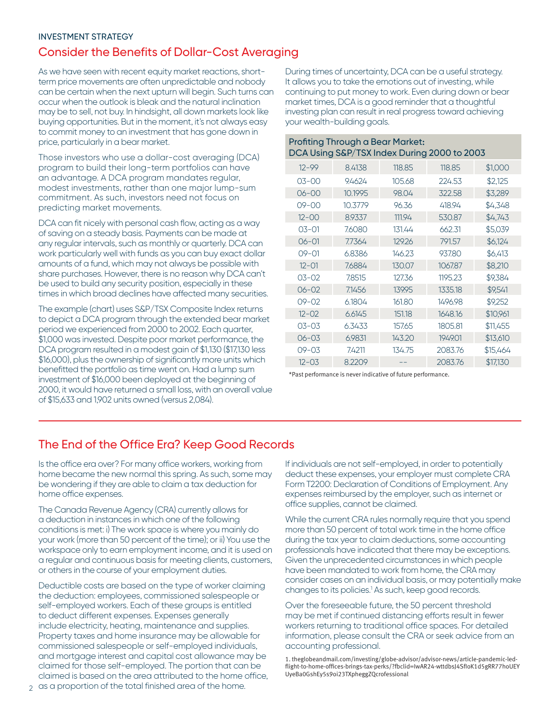#### INVESTMENT STRATEGY

### Consider the Benefits of Dollar-Cost Averaging

As we have seen with recent equity market reactions, shortterm price movements are often unpredictable and nobody can be certain when the next upturn will begin. Such turns can occur when the outlook is bleak and the natural inclination may be to sell, not buy. In hindsight, all down markets look like buying opportunities. But in the moment, it's not always easy to commit money to an investment that has gone down in price, particularly in a bear market.

Those investors who use a dollar-cost averaging (DCA) program to build their long-term portfolios can have an advantage. A DCA program mandates regular, modest investments, rather than one major lump-sum commitment. As such, investors need not focus on predicting market movements.

DCA can fit nicely with personal cash flow, acting as a way of saving on a steady basis. Payments can be made at any regular intervals, such as monthly or quarterly. DCA can work particularly well with funds as you can buy exact dollar amounts of a fund, which may not always be possible with share purchases. However, there is no reason why DCA can't be used to build any security position, especially in these times in which broad declines have affected many securities.

The example (chart) uses S&P/TSX Composite Index returns to depict a DCA program through the extended bear market period we experienced from 2000 to 2002. Each quarter, \$1,000 was invested. Despite poor market performance, the DCA program resulted in a modest gain of \$1,130 (\$17,130 less \$16,000), plus the ownership of significantly more units which benefitted the portfolio as time went on. Had a lump sum investment of \$16,000 been deployed at the beginning of 2000, it would have returned a small loss, with an overall value of \$15,633 and 1,902 units owned (versus 2,084).

During times of uncertainty, DCA can be a useful strategy. It allows you to take the emotions out of investing, while continuing to put money to work. Even during down or bear market times, DCA is a good reminder that a thoughtful investing plan can result in real progress toward achieving your wealth-building goals.

|  | Profiting Through a Bear Market:<br>DCA Using S&P/TSX Index During 2000 to 2003 |         |        |         |          |  |
|--|---------------------------------------------------------------------------------|---------|--------|---------|----------|--|
|  | $12 - 99$                                                                       | 8.4138  | 118.85 | 118.85  | \$1,000  |  |
|  | $03 - 00$                                                                       | 9.4624  | 105.68 | 224.53  | \$2,125  |  |
|  | $06 - 00$                                                                       | 10.1995 | 98.04  | 322.58  | \$3,289  |  |
|  | $09 - 00$                                                                       | 10.3779 | 96.36  | 418.94  | \$4,348  |  |
|  | $12 - 00$                                                                       | 8.9337  | 111.94 | 530.87  | \$4,743  |  |
|  | $03 - 01$                                                                       | 7.6080  | 131.44 | 662.31  | \$5,039  |  |
|  | $06 - 01$                                                                       | 7.7364  | 129.26 | 791.57  | \$6,124  |  |
|  | $09 - 01$                                                                       | 6.8386  | 146.23 | 937.80  | \$6,413  |  |
|  | $12 - 01$                                                                       | 7.6884  | 130.07 | 1067.87 | \$8,210  |  |
|  | $03 - 02$                                                                       | 7.8515  | 127.36 | 1195.23 | \$9,384  |  |
|  | $06 - 02$                                                                       | 7.1456  | 139.95 | 1335.18 | \$9,541  |  |
|  | $09 - 02$                                                                       | 6.1804  | 161.80 | 1496.98 | \$9,252  |  |
|  | $12 - 02$                                                                       | 6.6145  | 151.18 | 1648.16 | \$10,961 |  |
|  | $03 - 03$                                                                       | 6.3433  | 157.65 | 1805.81 | \$11,455 |  |
|  | $06 - 03$                                                                       | 6.9831  | 143.20 | 1949.01 | \$13,610 |  |
|  | $09 - 03$                                                                       | 7.4211  | 134.75 | 2083.76 | \$15,464 |  |
|  | $12 - 03$                                                                       | 8.2209  |        | 2083.76 | \$17,130 |  |

\*Past performance is never indicative of future performance.

## The End of the Office Era? Keep Good Records

Is the office era over? For many office workers, working from home became the new normal this spring. As such, some may be wondering if they are able to claim a tax deduction for home office expenses.

The Canada Revenue Agency (CRA) currently allows for a deduction in instances in which one of the following conditions is met: i) The work space is where you mainly do your work (more than 50 percent of the time); or ii) You use the workspace only to earn employment income, and it is used on a regular and continuous basis for meeting clients, customers, or others in the course of your employment duties.

Deductible costs are based on the type of worker claiming the deduction: employees, commissioned salespeople or self-employed workers. Each of these groups is entitled to deduct different expenses. Expenses generally include electricity, heating, maintenance and supplies. Property taxes and home insurance may be allowable for commissioned salespeople or self-employed individuals, and mortgage interest and capital cost allowance may be claimed for those self-employed. The portion that can be claimed is based on the area attributed to the home office, If individuals are not self-employed, in order to potentially deduct these expenses, your employer must complete CRA Form T2200: Declaration of Conditions of Employment. Any expenses reimbursed by the employer, such as internet or office supplies, cannot be claimed.

While the current CRA rules normally require that you spend more than 50 percent of total work time in the home office during the tax year to claim deductions, some accounting professionals have indicated that there may be exceptions. Given the unprecedented circumstances in which people have been mandated to work from home, the CRA may consider cases on an individual basis, or may potentially make changes to its policies.<sup>1</sup> As such, keep good records.

Over the foreseeable future, the 50 percent threshold may be met if continued distancing efforts result in fewer workers returning to traditional office spaces. For detailed information, please consult the CRA or seek advice from an accounting professional.

1. [theglobeandmail.com/investing/globe-advisor/advisor-news/article-pandemic-led](theglobeandmail.com/investing/globe-advisor/advisor-news/article-pandemic-led-flight-to-home-offices-brings-tax-perks/?fbclid=IwAR24-wttdbsJ4SfIoK1d5gRR77hoUEYUyeBa0GshEy5s9oi23TXpheggZQcrofessional)[flight-to-home-offices-brings-tax-perks/?fbclid=IwAR24-wttdbsJ4SfIoK1d5gRR77hoUEY](theglobeandmail.com/investing/globe-advisor/advisor-news/article-pandemic-led-flight-to-home-offices-brings-tax-perks/?fbclid=IwAR24-wttdbsJ4SfIoK1d5gRR77hoUEYUyeBa0GshEy5s9oi23TXpheggZQcrofessional) [UyeBa0GshEy5s9oi23TXpheggZQcrofessional](theglobeandmail.com/investing/globe-advisor/advisor-news/article-pandemic-led-flight-to-home-offices-brings-tax-perks/?fbclid=IwAR24-wttdbsJ4SfIoK1d5gRR77hoUEYUyeBa0GshEy5s9oi23TXpheggZQcrofessional)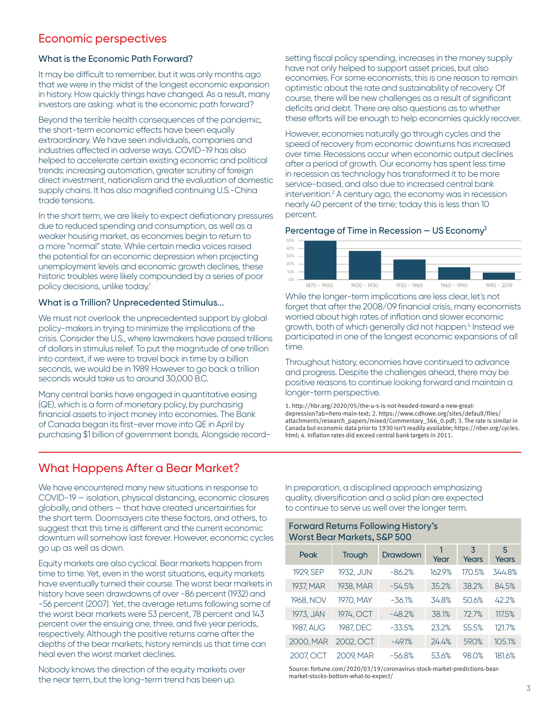### Economic perspectives

### What is the Economic Path Forward?

It may be difficult to remember, but it was only months ago that we were in the midst of the longest economic expansion in history. How quickly things have changed. As a result, many investors are asking: what is the economic path forward?

Beyond the terrible health consequences of the pandemic, the short-term economic effects have been equally extraordinary. We have seen individuals, companies and industries affected in adverse ways. COVID-19 has also helped to accelerate certain existing economic and political trends: increasing automation, greater scrutiny of foreign direct investment, nationalism and the evaluation of domestic supply chains. It has also magnified continuing U.S.-China trade tensions.

In the short term, we are likely to expect deflationary pressures due to reduced spending and consumption, as well as a weaker housing market, as economies begin to return to a more "normal" state. While certain media voices raised the potential for an economic depression when projecting unemployment levels and economic growth declines, these historic troubles were likely compounded by a series of poor policy decisions, unlike today.<sup>1</sup>

#### What is a Trillion? Unprecedented Stimulus...

We must not overlook the unprecedented support by global policy-makers in trying to minimize the implications of the crisis. Consider the U.S., where lawmakers have passed trillions of dollars in stimulus relief. To put the magnitude of one trillion into context, if we were to travel back in time by a billion seconds, we would be in 1989. However to go back a trillion seconds would take us to around 30,000 B.C.

Many central banks have engaged in quantitative easing (QE), which is a form of monetary policy, by purchasing financial assets to inject money into economies. The Bank of Canada began its first-ever move into QE in April by purchasing \$1 billion of government bonds. Alongside recordsetting fiscal policy spending, increases in the money supply have not only helped to support asset prices, but also economies. For some economists, this is one reason to remain optimistic about the rate and sustainability of recovery. Of course, there will be new challenges as a result of significant deficits and debt. There are also questions as to whether these efforts will be enough to help economies quickly recover.

However, economies naturally go through cycles and the speed of recovery from economic downturns has increased over time. Recessions occur when economic output declines after a period of growth. Our economy has spent less time in recession as technology has transformed it to be more service-based, and also due to increased central bank intervention.<sup>2</sup> A century ago, the economy was in recession nearly 40 percent of the time; today this is less than 10 percent.

### Percentage of Time in Recession  $-$  US Economy<sup>3</sup>



While the longer-term implications are less clear, let's not forget that after the 2008/09 financial crisis, many economists worried about high rates of inflation and slower economic growth, both of which generally did not happen.<sup>4</sup> Instead we participated in one of the longest economic expansions of all time.

Throughout history, economies have continued to advance and progress. Despite the challenges ahead, there may be positive reasons to continue looking forward and maintain a longer-term perspective.

1. [http://hbr.org/2020/05/the-u-s-is-not-headed-toward-a-new-great](http://hbr.org/2020/05/the-u-s-is-not-headed-toward-a-new-great-depression?ab=hero-main-text)[depression?ab=hero-main-text](http://hbr.org/2020/05/the-u-s-is-not-headed-toward-a-new-great-depression?ab=hero-main-text); 2. [https://www.cdhowe.org/sites/default/files/](https://www.cdhowe.org/sites/default/files/attachments/research_papers/mixed/Commentary_366_0.pdf) [attachments/research\\_papers/mixed/Commentary\\_366\\_0.pdf](https://www.cdhowe.org/sites/default/files/attachments/research_papers/mixed/Commentary_366_0.pdf); 3. The rate is similar in Canada but economic data prior to 1930 isn't readily available; [https://nber.org/cycles.](https://nber.org/cycles.html) [html](https://nber.org/cycles.html); 4. Inflation rates did exceed central bank targets in 2011.

### What Happens After a Bear Market?

We have encountered many new situations in response to COVID-19 — isolation, physical distancing, economic closures globally, and others — that have created uncertainties for the short term. Doomsayers cite these factors, and others, to suggest that this time is different and the current economic downturn will somehow last forever. However, economic cycles go up as well as down.

Equity markets are also cyclical. Bear markets happen from time to time. Yet, even in the worst situations, equity markets have eventually turned their course. The worst bear markets in history have seen drawdowns of over -86 percent (1932) and -56 percent (2007). Yet, the average returns following some of the worst bear markets were 53 percent, 78 percent and 143 percent over the ensuing one, three, and five year periods, respectively. Although the positive returns came after the depths of the bear markets, history reminds us that time can heal even the worst market declines.

Nobody knows the direction of the equity markets over the near term, but the long-term trend has been up.

In preparation, a disciplined approach emphasizing quality, diversification and a solid plan are expected to continue to serve us well over the longer term.

| <b>Forward Returns Following History's</b><br><b>Worst Bear Markets, S&amp;P 500</b> |           |          |           |            |            |  |  |  |  |
|--------------------------------------------------------------------------------------|-----------|----------|-----------|------------|------------|--|--|--|--|
| Peak                                                                                 | Trough    | Drawdown | 1<br>Year | 3<br>Years | 5<br>Years |  |  |  |  |
| 1929. SEP                                                                            | 1932. JUN | $-86.2%$ | 1629%     | 170.5%     | 3448%      |  |  |  |  |
| 1937, MAR                                                                            | 1938, MAR | $-54.5%$ | 35.2%     | 38.2%      | 84.5%      |  |  |  |  |
| 1968. NOV                                                                            | 1970. MAY | $-36.1%$ | 348%      | 50.6%      | 422%       |  |  |  |  |
| 1973, JAN                                                                            | 1974. OCT | $-482%$  | 38.1%     | 727%       | 117.5%     |  |  |  |  |
| 1987, AUG                                                                            | 1987, DEC | $-33.5%$ | 232%      | 55.5%      | 1217%      |  |  |  |  |
| 2000, MAR                                                                            | 2002. OCT | $-491%$  | 24.4%     | 59.0%      | 105.1%     |  |  |  |  |
| 2007. OCT                                                                            | 2009. MAR | $-56.8%$ | 53.6%     | 980%       | 1816%      |  |  |  |  |

Source: fortune.com/2020/03/19/coronavirus-stock-market-predictions-bearmarket-stocks-bottom-what-to-expect/